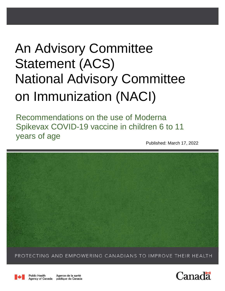# An Advisory Committee Statement (ACS) National Advisory Committee on Immunization (NACI)

Recommendations on the use of Moderna Spikevax COVID-19 vaccine in children 6 to 11 years of age

Published: March 17, 2022



PROTECTING AND EMPOWERING CANADIANS TO IMPROVE THEIR HEALTH



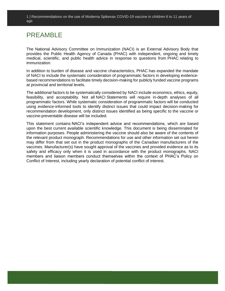### PREAMBLE

The National Advisory Committee on Immunization (NACI) is an External Advisory Body that provides the Public Health Agency of Canada (PHAC) with independent, ongoing and timely medical, scientific, and public health advice in response to questions from PHAC relating to immunization.

In addition to burden of disease and vaccine characteristics, PHAC has expanded the mandate of NACI to include the systematic consideration of programmatic factors in developing evidencebased recommendations to facilitate timely decision-making for publicly funded vaccine programs at provincial and territorial levels.

The additional factors to be systematically considered by NACI include economics, ethics, equity, feasibility, and acceptability. Not all NACI Statements will require in-depth analyses of all programmatic factors. While systematic consideration of programmatic factors will be conducted using evidence-informed tools to identify distinct issues that could impact decision-making for recommendation development, only distinct issues identified as being specific to the vaccine or vaccine-preventable disease will be included.

This statement contains NACI's independent advice and recommendations, which are based upon the best current available scientific knowledge. This document is being disseminated for information purposes. People administering the vaccine should also be aware of the contents of the relevant product monograph. Recommendations for use and other information set out herein may differ from that set out in the product monographs of the Canadian manufacturers of the vaccines. Manufacturer(s) have sought approval of the vaccines and provided evidence as to its safety and efficacy only when it is used in accordance with the product monographs. NACI members and liaison members conduct themselves within the context of PHAC's Policy on Conflict of Interest, including yearly declaration of potential conflict of interest.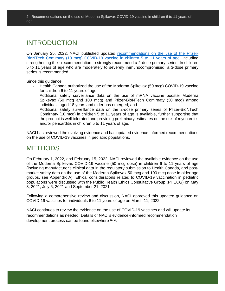### INTRODUCTION

On January 25, 2022, NACI published updated [recommendations on the use of the Pfizer-](https://www.canada.ca/en/public-health/services/immunization/national-advisory-committee-on-immunization-naci/updated-recommendations-use-covid-19-vaccines-children-5-11-years-age.html)[BioNTech Comirnaty \(10 mcg\) COVID-19 vaccine in children 5 to 11 years of age,](https://www.canada.ca/en/public-health/services/immunization/national-advisory-committee-on-immunization-naci/updated-recommendations-use-covid-19-vaccines-children-5-11-years-age.html) including strengthening their recommendation to strongly recommend a 2-dose primary series. In children 5 to 11 years of age who are moderately to severely immunocompromised, a 3-dose primary series is recommended.

Since this quidance:

- Health Canada authorized the use of the Moderna Spikevax (50 mcg) COVID-19 vaccine for children 6 to 11 years of age;
- Additional safety surveillance data on the use of mRNA vaccine booster Moderna Spikevax (50 mcg and 100 mcg) and Pfizer-BioNTech Comirnaty (30 mcg) among individuals aged 18 years and older has emerged; and
- Additional safety surveillance data on the 2-dose primary series of Pfizer-BioNTech Comirnaty (10 mcg) in children 5 to 11 years of age is available, further supporting that the product is well tolerated and providing preliminary estimates on the risk of myocarditis and/or pericarditis in children 5 to 11 years of age.

NACI has reviewed the evolving evidence and has updated evidence-informed recommendations on the use of COVID-19 vaccines in pediatric populations.

### **METHODS**

On February 1, 2022, and February 15, 2022, NACI reviewed the available evidence on the use of the Moderna Spikevax COVID-19 vaccine (50 mcg dose) in children 6 to 11 years of age (including manufacturer's clinical data in the regulatory submission to Health Canada, and postmarket safety data on the use of the Moderna Spikevax 50 mcg and 100 mcg dose in older age groups, see Appendix A). Ethical considerations related to COVID-19 vaccination in pediatric populations were discussed with the Public Health Ethics Consultative Group (PHECG) on May 3, 2021, July 6, 2021 and September 21, 2021.

Following a comprehensive review and discussion, NACI approved this updated guidance on COVID-19 vaccines for individuals 6 to 11 years of age on March 11, 2022.

NACI continues to review the evidence on the use of COVID-19 vaccines and will update its recommendations as needed. Details of NACI's evidence-informed recommendation development process can be found elsewhere  $(1, 2)$ .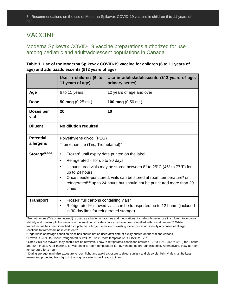# VACCINE

### Moderna Spikevax COVID-19 vaccine preparations authorized for use among pediatric and adult/adolescent populations in Canada

**Table 1. Use of the Moderna Spikevax COVID-19 vaccine for children (6 to 11 years of age) and adults/adolescents (≥12 years of age)** 

|                               | Use in children (6 to<br>11 years of age)                                                                                                                                                                                                                                                                                                                                   | Use in adults/adolescents (212 years of age;<br>primary series) |  |  |
|-------------------------------|-----------------------------------------------------------------------------------------------------------------------------------------------------------------------------------------------------------------------------------------------------------------------------------------------------------------------------------------------------------------------------|-----------------------------------------------------------------|--|--|
| Age                           | 6 to 11 years                                                                                                                                                                                                                                                                                                                                                               | 12 years of age and over                                        |  |  |
| <b>Dose</b>                   | 50 mcg (0.25 mL)                                                                                                                                                                                                                                                                                                                                                            | 100 mcg (0.50 mL)                                               |  |  |
| Doses per<br>vial             | 20                                                                                                                                                                                                                                                                                                                                                                          | 10                                                              |  |  |
| <b>Diluent</b>                | No dilution required                                                                                                                                                                                                                                                                                                                                                        |                                                                 |  |  |
| <b>Potential</b><br>allergens | Polyethylene glycol (PEG)<br>Tromethamine (Tris, Trometamol) <sup>a</sup>                                                                                                                                                                                                                                                                                                   |                                                                 |  |  |
| Storageb,c,d,e                | Frozen <sup>c</sup> until expiry date printed on the label<br>Refrigerated <sup>c,d</sup> for up to 30 days<br>Unpunctured vials may be stored between 8° to 25°C (46° to 77°F) for<br>up to 24 hours<br>Once needle-punctured, vials can be stored at room temperatured or<br>refrigerated <sup>c,d</sup> up to 24 hours but should not be punctured more than 20<br>times |                                                                 |  |  |
| Transport <sup>c</sup>        | Frozen <sup>c</sup> full cartons containing vials <sup>e</sup><br>$\bullet$<br>Refrigerated <sup>c,d</sup> thawed vials can be transported up to 12 hours (included<br>$\bullet$<br>in 30-day limit for refrigerated storage)<br><b>Jul 21 of a</b>                                                                                                                         |                                                                 |  |  |

<sup>a</sup>Tromethamine (Tris or trometamol) is used as a buffer in vaccines and medications, including those for use in children, to improve stability and prevent pH fluctuations in the solution. No safety concerns have been identified with tromethamine <sup>(3)</sup>. While tromethamine has been identified as a potential allergen, a review of existing evidence did not identify any cases of allergic reactions to tromethamine in children (4).

**bRegardless of storage condition, vaccines should not be used after date of expiry printed on the vial and cartons.** 

<sup>c</sup> Frozen is -25°C to -15°C; Refrigerated is +2°C to +8°C; Room temperature is +15°C to +25°C.

 $d$ Once vials are thawed, they should not be refrozen. Thaw in refrigerated conditions between +2 $\degree$  to +8 $\degree$ C (36 $\degree$  to 46 $\degree$ F) for 2 hours and 30 minutes. After thawing, let vial stand at room temperature for 15 minutes before administering. Alternatively, thaw at room temperature for 1 hour.

<sup>e</sup> During storage, minimize exposure to room light, and avoid exposure to direct sunlight and ultraviolet light. Vials must be kept frozen and protected from light, in the original cartons, until ready to thaw.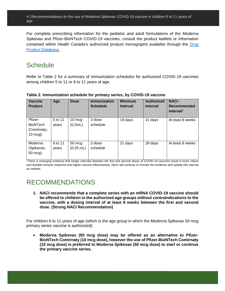For complete prescribing information for the pediatric and adult formulations of the Moderna Spikevax and Pfizer-BioNTech COVID-19 vaccines, consult the product leaflets or information contained within Health Canada's authorized product monographs available through the Drug [Product Database.](https://www.canada.ca/en/health-canada/services/drugs-health-products/drug-products/drug-product-database.html)

### **Schedule**

Refer to Table 2 for a summary of immunization schedules for authorized COVID-19 vaccines among children 5 to 11 or 6 to 11 years of age.

| <b>Vaccine</b><br><b>Product</b>                              | Age              | <b>Dose</b>                     | <b>Immunization</b><br><b>Schedule</b> | <b>Minimum</b><br><b>Interval</b> | <b>Authorized</b><br><b>Interval</b> | <b>NACI-</b><br>Recommended<br>Interval <sup>1</sup> |
|---------------------------------------------------------------|------------------|---------------------------------|----------------------------------------|-----------------------------------|--------------------------------------|------------------------------------------------------|
| Pfizer-<br><b>BioNTech</b><br>(Comirnaty;<br>$10 \text{ mcg}$ | 5 to 11<br>vears | $10 \text{ mcg}$<br>(0.2mL)     | 2-dose<br>schedule                     | 19 days                           | 21 days                              | At least 8 weeks                                     |
| Moderna<br>(Spikevax;<br>50 mcg)                              | 6 to 11<br>vears | $50 \text{ mcg}$<br>$(0.25$ mL) | 2-dose<br>schedule                     | 21 days                           | 28 days                              | At least 8 weeks                                     |

**Table 2. Immunization schedule for primary series, by COVID-19 vaccine**

<sup>1</sup>There is emerging evidence that longer intervals between the first and second doses of COVID-19 vaccines result in more robust and durable immune response and higher vaccine effectiveness. NACI will continue to monitor the evidence and update this interval as needed.

# RECOMMENDATIONS

**1. NACI recommends that a complete series with an mRNA COVID-19 vaccine should be offered to children in the authorized age groups without contraindications to the vaccine, with a dosing interval of at least 8 weeks between the first and second dose. (Strong NACI Recommendation)**

For children 6 to 11 years of age (which is the age group in which the Moderna Spikevax 50 mcg primary series vaccine is authorized):

 **Moderna Spikevax (50 mcg dose) may be offered as an alternative to Pfizer-BioNTech Comirnaty (10 mcg dose), however the use of Pfizer-BioNTech Comirnaty (10 mcg dose) is preferred to Moderna Spikevax (50 mcg dose) to start or continue the primary vaccine series.**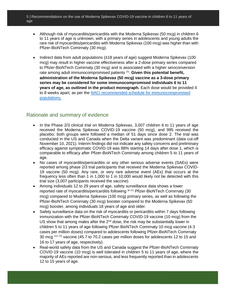- Although risk of myocarditis/pericarditis with the Moderna Spikevax (50 mcg) in children 6 to 11 years of age is unknown, with a primary series in adolescents and young adults the rare risk of myocarditis/pericarditis with Moderna Spikevax (100 mcg) was higher than with Pfizer-BioNTech Comirnaty (30 mcg).
- Indirect data from adult populations (≥18 years of age) suggest Moderna Spikevax (100 mcg) may result in higher vaccine effectiveness after a 2-dose primary series compared to Pfizer-BioNTech Comirnaty (30 mcg) and is associated with a higher seroconversion rate among adult immunocompromised patients<sup>(5)</sup>. Given this potential benefit, **administration of the Moderna Spikevax (50 mcg) vaccine as a 3-dose primary series may be considered for some immunocompromised individuals 6 to 11 years of age, as outlined in the product monograph.** Each dose would be provided 4 to 8 weeks apart, as per the [NACI recommended schedule](https://www.canada.ca/en/public-health/services/publications/healthy-living/canadian-immunization-guide-part-4-active-vaccines/page-26-covid-19-vaccine.html#t2) for immunocompromised [populations.](https://www.canada.ca/en/public-health/services/publications/healthy-living/canadian-immunization-guide-part-4-active-vaccines/page-26-covid-19-vaccine.html#t2)

### Rationale and summary of evidence

- In the Phase 2/3 clinical trial on Moderna Spikevax, 3,007 children 6 to 11 years of age received the Moderna Spikevax COVID-19 vaccine (50 mcg), and 995 received the placebo; both groups were followed a median of 51 days since dose 2. The trial was conducted in the US and Canada when the Delta variant was predominant (data cut-off November 10, 2021). Interim findings did not indicate any safety concerns and preliminary efficacy against symptomatic COVID-19 was 88% starting 14 days after dose 1, which is comparable to efficacy after Pfizer-BioNTech Comirnaty among children 5 to 11 years of age.
- No cases of myocarditis/pericarditis or any other serious adverse events (SAEs) were reported among phase 2/3 trial participants that received the Moderna Spikevax COVID-19 vaccine (50 mcg). Any rare, or very rare adverse event (AEs) that occurs at the frequency less often than 1 in 1,000 to 1 in 10,000 would likely not be detected with this trial size (3,007 participants received the vaccine).
- Among individuals 12 to 29 years of age, safety surveillance data shows a lower reported rate of myocarditis/pericarditis following (6-11) Pfizer-BioNTech Comirnaty (30 mcg) compared to Moderna Spikevax (100 mcg) primary series, as well as following the Pfizer-BioNTech Comirnaty (30 mcg) booster compared to the Moderna Spikevax (50 mcg) booster, among individuals 18 years of age and older.
- Safety surveillance data on the risk of myocarditis or pericarditis within 7 days following immunization with the Pfizer-BioNTech Comirnaty COVID-19 vaccine (10 mcg) from the US show that among males after the  $2^{nd}$  dose, the risk may be substantially lower in children 5 to 11 years of age following Pfizer-BioNTech Comirnaty 10 mcg vaccine (4.3 cases per million doses) compared to adolescents following Pfizer-BioNTech Comirnaty 30 mcg  $(12, 13)$  vaccine (45.7 to 70.2 cases per million doses for adolescents 12 to 15 and 16 to 17 years of age, respectively).
- Real-world safety data from the US and Canada suggest the Pfizer-BioNTech Comirnaty COVID-19 vaccine (10 mcg) is well tolerated in children 5 to 11 years of age, where the majority of AEs reported are non-serious, and less frequently reported than in adolescents 12 to 15 years of age.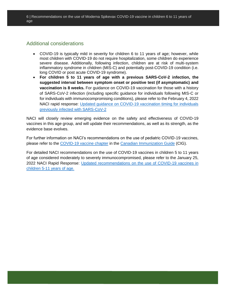### Additional considerations

- COVID-19 is typically mild in severity for children 6 to 11 years of age; however, while most children with COVID-19 do not require hospitalization, some children do experience severe disease. Additionally, following infection, children are at risk of multi-system inflammatory syndrome in children (MIS-C) and potentially post-COVID-19 condition (i.e. long COVID or post acute COVID-19 syndrome).
- **For children 5 to 11 years of age with a previous SARS-CoV-2 infection, the suggested interval between symptom onset or positive test (if asymptomatic) and vaccination is 8 weeks.** For guidance on COVID-19 vaccination for those with a history of SARS-CoV-2 infection (including specific guidance for individuals following MIS-C or for individuals with immunocompromising conditions), please refer to the February 4, 2022 NACI rapid response: [Updated guidance on COVID-19 vaccination timing for individuals](https://www.canada.ca/en/public-health/services/immunization/national-advisory-committee-on-immunization-naci/rapid-response-guidance-covid-19-vaccination-timing-individuals-previously-infected-sars-cov-2.html#a4)  [previously infected with SARS-CoV-2](https://www.canada.ca/en/public-health/services/immunization/national-advisory-committee-on-immunization-naci/rapid-response-guidance-covid-19-vaccination-timing-individuals-previously-infected-sars-cov-2.html#a4)

NACI will closely review emerging evidence on the safety and effectiveness of COVID-19 vaccines in this age group, and will update their recommendations, as well as its strength, as the evidence base evolves.

For further information on NACI's recommendations on the use of pediatric COVID-19 vaccines, please refer to the [COVID-19 vaccine chapter](https://www.canada.ca/en/public-health/services/publications/healthy-living/canadian-immunization-guide-part-4-active-vaccines/page-26-covid-19-vaccine.html) in the [Canadian Immunization Guide](https://www.canada.ca/en/public-health/services/canadian-immunization-guide.html) (CIG).

For detailed NACI recommendations on the use of COVID-19 vaccines in children 5 to 11 years of age considered moderately to severely immunocompromised, please refer to the January 25, 2022 NACI Rapid Response: Updated [recommendations on the use of COVID-19 vaccines in](https://www.canada.ca/en/public-health/services/immunization/national-advisory-committee-on-immunization-naci/updated-recommendations-use-covid-19-vaccines-children-5-11-years-age.html#a5)  [children 5-11 years of age.](https://www.canada.ca/en/public-health/services/immunization/national-advisory-committee-on-immunization-naci/updated-recommendations-use-covid-19-vaccines-children-5-11-years-age.html#a5)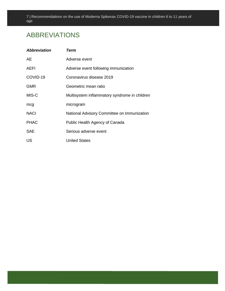# ABBREVIATIONS

| <b>Abbreviation</b> | Term                                          |
|---------------------|-----------------------------------------------|
| AE.                 | Adverse event                                 |
| AEFI                | Adverse event following immunization          |
| COVID-19            | Coronavirus disease 2019                      |
| <b>GMR</b>          | Geometric mean ratio                          |
| MIS-C               | Multisystem inflammatory syndrome in children |
| mcg                 | microgram                                     |
| <b>NACI</b>         | National Advisory Committee on Immunization   |
| <b>PHAC</b>         | Public Health Agency of Canada                |
| <b>SAE</b>          | Serious adverse event                         |
| US                  | <b>United States</b>                          |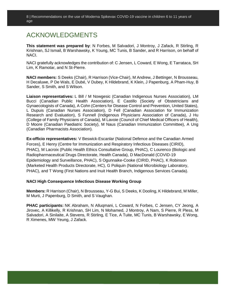### ACKNOWLEDGMENTS

**This statement was prepared by**: N Forbes, M Salvadori, J Montroy, J Zafack, R Stirling, R Krishnan, SJ Ismail, B Warshawsky, K Young, MC Tunis, B Sander, and R Harrison, on behalf of NACI.

NACI gratefully acknowledges the contribution of: C Jensen, L Coward, E Wong, E Tarrataca, SH Lim, K Ramotar, and N St-Pierre.

**NACI members:** S Deeks (Chair), R Harrison (Vice-Chair), M Andrew, J Bettinger, N Brousseau, H Decaluwe, P De Wals, E Dubé, V Dubey, K Hildebrand, K Klein, J Papenburg, A Pham-Huy, B Sander, S Smith, and S Wilson.

**Liaison representatives:** L Bill / M Nowgesic (Canadian Indigenous Nurses Association), LM Bucci (Canadian Public Health Association), E Castillo (Society of Obstetricians and Gynaecologists of Canada), A Cohn (Centers for Disease Control and Prevention, United States), L Dupuis (Canadian Nurses Association), D Fell (Canadian Association for Immunization Research and Evaluation), S Funnell (Indigenous Physicians Association of Canada), J Hu (College of Family Physicians of Canada), M Lavoie (Council of Chief Medical Officers of Health), D Moore (Canadian Paediatric Society), M Naus (Canadian Immunization Committee), A Ung (Canadian Pharmacists Association).

**Ex-officio representatives:** V Beswick-Escanlar (National Defence and the Canadian Armed Forces), E Henry (Centre for Immunization and Respiratory Infectious Diseases (CIRID), PHAC), M Lacroix (Public Health Ethics Consultative Group, PHAC), C Lourenco (Biologic and Radiopharmaceutical Drugs Directorate, Health Canada), D MacDonald (COVID-19 Epidemiology and Surveillance, PHAC), S Ogunnaike-Cooke (CIRID, PHAC), K Robinson (Marketed Health Products Directorate, HC), G Poliquin (National Microbiology Laboratory, PHAC), and T Wong (First Nations and Inuit Health Branch, Indigenous Services Canada).

#### **NACI High Consequence Infectious Disease Working Group**

**Members:** R Harrison (Chair), N Brousseau, Y-G Bui, S Deeks, K Dooling, K Hildebrand, M Miller, M Murti, J Papenburg, D Smith, and S Vaughan.

**PHAC participants:** NK Abraham, N Alluqmani, L Coward, N Forbes, C Jensen, CY Jeong, A Jirovec, A Killikelly, R Krishnan, SH Lim, N Mohamed, J Montroy, A Nam, S Pierre, R Pless, M Salvadori, A Sinilaite, A Stevens, R Stirling, E Tice, A Tuite, MC Tunis, B Warshawsky, E Wong, R Ximenes, MW Yeung, J Zafack.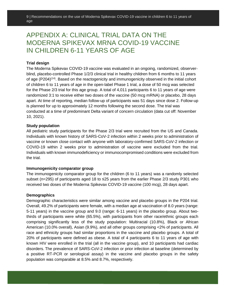## APPENDIX A: CLINICAL TRIAL DATA ON THE MODERNA SPIKEVAX MRNA COVID-19 VACCINE IN CHILDREN 6-11 YEARS OF AGE

#### **Trial design**

The Moderna Spikevax COVID-19 vaccine was evaluated in an ongoing, randomized, observerblind, placebo-controlled Phase 1/2/3 clinical trial in healthy children from 6 months to 11 years of age (P204)<sup>(14)</sup>. Based on the reactogenicity and immunogenicity observed in the initial cohort of children 6 to 11 years of age in the open-label Phase 1 trial, a dose of 50 mcg was selected for the Phase 2/3 trial for this age group. A total of 4,011 participants 6 to 11 years of age were randomized 3:1 to receive either two doses of the vaccine (50 mcg mRNA) or placebo, 28 days apart. At time of reporting, median follow-up of participants was 51 days since dose 2. Follow-up is planned for up to approximately 12 months following the second dose. The trial was conducted at a time of predominant Delta variant of concern circulation (data cut off: November 10, 2021).

#### **Study population**

All pediatric study participants for the Phase 2/3 trial were recruited from the US and Canada. Individuals with known history of SARS-CoV-2 infection within 2 weeks prior to administration of vaccine or known close contact with anyone with laboratory-confirmed SARS-CoV-2 infection or COVID-19 within 2 weeks prior to administration of vaccine were excluded from the trial. Individuals with known immunodeficiency or immunocompromised conditions were excluded from the trial.

#### **Immunogenicity comparator group**

The immunogenicity comparator group for the children (6 to 11 years) was a randomly selected subset (n=295) of participants aged 18 to ≤25 years from the earlier Phase 2/3 study P301 who received two doses of the Moderna Spikevax COVID-19 vaccine (100 mcg), 28 days apart.

#### **Demographics**

Demographic characteristics were similar among vaccine and placebo groups in the P204 trial. Overall, 49.2% of participants were female, with a median age at vaccination of 8.0 years (range: 5-11 years) in the vaccine group and 9.0 (range: 6-11 years) in the placebo group. About twothirds of participants were white (65.5%), with participants from other race/ethnic groups each comprising significantly less of the study population: Multiracial (10.8%), Black or African American (10.0% overall), Asian (9.9%), and all other groups comprising <2% of participants. All race and ethnicity groups had similar proportions in the vaccine and placebo groups. A total of 20% of participants were defined as obese. A total of 4 participants 6 to 11 years of age with known HIV were enrolled in the trial (all in the vaccine group), and 10 participants had cardiac disorders. The prevalence of SARS-CoV-2 infection or prior infection at baseline (determined by a positive RT-PCR or serological assay) in the vaccine and placebo groups in the safety population was comparable at 8.5% and 8.7%, respectively.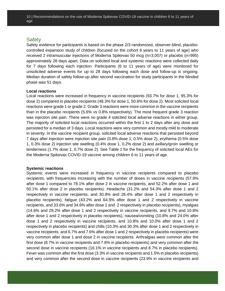### **Safety**

Safety evidence for participants is based on the phase 2/3 randomized, observer-blind, placebocontrolled expansion study of children (focused on the cohort 6 years to 11 years of age) who received 2 intramuscular injections of Moderna Spikevax 50 mcg (n=3,007) or placebo (n=995) approximately 28 days apart. Data on solicited local and systemic reactions were collected daily for 7 days following each injection. Participants (6 to 11 years of age) were monitored for unsolicited adverse events for up to 28 days following each dose and follow-up is ongoing. Median duration of safety follow-up after second vaccination for study participants in the blinded phase was 51 days.

#### **Local reactions**

Local reactions were increased in frequency in vaccine recipients (93.7% for dose 1, 95.3% for dose 2) compared to placebo recipients (48.3% for dose 1, 50.6% for dose 2). Most solicited local reactions were grade 1 or grade 2. Grade 3 reactions were more common in the vaccine recipients than in the placebo recipients (5.6% vs 0.8% respectively). The most frequent grade 3 reaction was injection site pain. There were no grade 4 solicited local adverse reactions in either group. The majority of solicited local reactions occurred within the first 1 to 2 days after any dose and persisted for a median of 3 days. Local reactions were very common and mostly mild to moderate in severity. In the vaccine recipient group, solicited local adverse reactions that persisted beyond 7 days after injection were injection site pain (0.8% dose 1, 0.5% dose 2), erythema (0.5% dose 1, 0.3% dose 2) injection site swelling (0.4% dose 1, 0.2% dose 2) and axillary/groin swelling or tenderness (1.7% dose 1, 0.7% dose 2). See Table 1 for the frequency of solicited local AEs for the Moderna Spikevax COVID-19 vaccine among children 6 to 11 years of age.

#### **Systemic reactions**

Systemic events were increased in frequency in vaccine recipients compared to placebo recipients, with frequencies increasing with the number of doses in vaccine recipients (57.9% after dose 1 compared to 78.1% after dose 2 in vaccine recipients, and 52.2% after dose 1 and 50.1% after dose 2 in placebo recipients). Headache (31.2% and 54.3% after dose 1 and 2 respectively in vaccine recipients, and 30.8% and 28.4% after dose 1 and 2 respectively in placebo recipients), fatigue (43.2% and 64.5% after dose 1 and 2 respectively in vaccine recipients, and 33.6% and 34.6% after dose 1 and 2 respectively in placebo recipients), myalgias (14.6% and 28.2% after dose 1 and 2 respectively in vaccine recipients, and 9.7% and 10.8% after dose 1 and 2 respectively in placebo recipients), nausea/vomiting (10.8% and 24.0% after dose 1 and 2 respectively in vaccine recipients, and 10.8% and 10.0% after dose 1 and 2 respectively in placebo recipients) and chills (10.3% and 30.3% after dose 1 and 2 respectively in vaccine recipients, and 6.7% and 7.6% after dose 1 and 2 respectively in placebo recipients) were very common after dose 1 and dose 2 in vaccine recipients. Arthralgias were common after the first dose (8.7% in vaccine recipients and 7.6% in placebo recipients) and very common after the second dose in vaccine recipients (16.1% in vaccine recipients and 8.7% in placebo recipients). Fever was common after the first dose (3.3% in vaccine recipients and 1.5% in placebo recipients) and very common after the second dose in vaccine recipients (23.9% in vaccine recipients and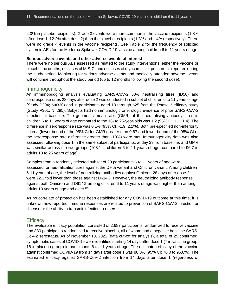2.0% in placebo recipients). Grade 3 events were more common in the vaccine recipients (1.8% after dose 1, 12.2% after dose 2) than the placebo recipients (1.3% and 1.4% respectively). There were no grade 4 events in the vaccine recipients. See Table 2 for the frequency of solicited systemic AEs for the Moderna Spikevax COVID-19 vaccine among children 6 to 11 years of age.

#### **Serious adverse events and other adverse events of interest**

There were no serious AEs assessed as related to the study interventions, either the vaccine or placebo, no deaths, no cases of MIS-C, and no cases of myocarditis or pericarditis reported during the study period. Monitoring for serious adverse events and medically attended adverse events will continue throughout the study period (up to 12 months following the second dose).

#### Immunogenicity

An immunobridging analysis evaluating SARS-CoV-2 50% neutralising titres (ID50) and seroresponse rates 28 days after dose 2 was conducted in subset of children 6 to 11 years of age (Study P204; N=320) and in participants aged 18 through ≤25 from the Phase 3 efficacy study (Study P301; N=295). Subjects had no immunologic or virologic evidence of prior SARS-CoV-2 infection at baseline. The geometric mean ratio (GMR) of the neutralising antibody titres in children 6 to 11 years of age compared to the 18- to 25-year-olds was 1.2 (95% CI: 1.1, 1.4). The difference in seroresponse rate was 0.1% (95% CI: -1.9, 2.1%). Both pre-specified non-inferiority criteria (lower bound of the 95% CI for GMR greater than 0.67 and lower bound of the 95% CI of the seroresponse rate difference greater than -10%) were met. Immunogenicity data was also assessed following dose 1 in the same subset of participants; at day 29 from baseline, and GMR was similar across the two groups (108.1 in children 6 to 11 years of age, compared to 96.7 in adults 18 to 25 years of age).

Samples from a randomly selected subset of 20 participants 6 to 11 years of age were assessed for neutralization titres against the Delta variant and Omicron variant. Among children 6-11 years of age, the level of neutralizing antibodies against Omicron 28 days after dose 2 were 22.1 fold lower than those against D614G. However, the neutralizing antibody response against both Omicron and D614G among children 6 to 11 years of age was higher than among adults 18 years of age and older <sup>(15)</sup>.

As no correlate of protection has been established for any COVID-19 outcome at this time, it is unknown how reported immune responses are related to prevention of SARS-CoV-2 infection or disease or the ability to transmit infection to others.

### **Efficacy**

The evaluable efficacy population consisted of 2,687 participants randomized to receive vaccine and 880 participants randomized to receive placebo, all of whom had a negative baseline SARS-CoV-2 serostatus. As of November 10, 2021 (data cut-off for analysis), a total of 25 confirmed, symptomatic cases of COVID-19 were identified starting 14 days after dose 1 (7 in vaccine group, 18 in placebo group) in participants 6 to 11 years of age. The estimated efficacy of the vaccine against confirmed COVID-19 from 14 days after dose 1 was 88.0% (95% CI: 70.0 to 95.8%). The estimated efficacy against SARS-CoV-2 infection from 14 days after dose 1 (regardless of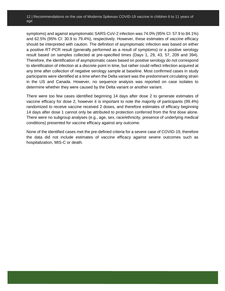symptoms) and against asymptomatic SARS-CoV-2 infection was 74.0% (95% CI: 57.9 to 84.1%) and 62.5% (95% CI: 30.9 to 79.4%), respectively. However, these estimates of vaccine efficacy should be interpreted with caution. The definition of asymptomatic infection was based on either a positive RT-PCR result (generally performed as a result of symptoms) or a positive serology result based on samples collected at pre-specified times (Days 1, 29, 43, 57, 209 and 394). Therefore, the identification of asymptomatic cases based on positive serology do not correspond to identification of infection at a discrete point in time, but rather could reflect infection acquired at any time after collection of negative serology sample at baseline. Most confirmed cases in study participants were identified at a time when the Delta variant was the predominant circulating strain in the US and Canada. However, no sequence analysis was reported on case isolates to determine whether they were caused by the Delta variant or another variant.

There were too few cases identified beginning 14 days after dose 2 to generate estimates of vaccine efficacy for dose 2, however it is important to note the majority of participants (99.4%) randomized to receive vaccine received 2 doses, and therefore estimates of efficacy beginning 14 days after dose 1 cannot only be attributed to protection conferred from the first dose alone. There were no subgroup analyses (e.g., age, sex, race/ethnicity, presence of underlying medical conditions) presented for vaccine efficacy against any outcome.

None of the identified cases met the pre-defined criteria for a severe case of COVID-19, therefore the data did not include estimates of vaccine efficacy against severe outcomes such as hospitalization, MIS-C or death.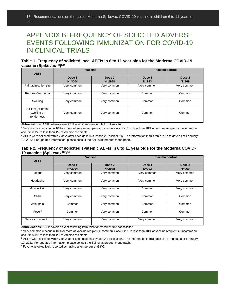# APPENDIX B: FREQUENCY OF SOLICITED ADVERSE EVENTS FOLLOWING IMMUNIZATION FOR COVID-19 IN CLINICAL TRIALS

#### **Table 1. Frequency of solicited local AEFIs in 6 to 11 year olds for the Moderna COVID-19 vaccine (SpikevaxTM) a,b**

| <b>AEFI</b>                                      | <b>Vaccine</b>       |                      | <b>Placebo control</b> |                     |
|--------------------------------------------------|----------------------|----------------------|------------------------|---------------------|
|                                                  | Dose 1<br>$N = 3004$ | Dose 2<br>$N = 2988$ | Dose 1<br>$N = 993$    | Dose 2<br>$N = 969$ |
| Pain at injection site                           | Very common          | Very common          | Very common            | Very common         |
| Redness/erythema                                 | Very common          | Very common          | Common                 | Common              |
| Swelling                                         | Very common          | Very common          | Common                 | Common              |
| Axillary (or groin)<br>swelling or<br>tenderness | Very common          | Very common          | Common                 | Common              |

**Abbreviations**: AEFI: adverse event following immunization; NS: not solicited

<sup>a</sup> Very common = occur in 10% or more of vaccine recipients, common = occur in 1 to less than 10% of vaccine recipients, uncommon= occur in 0.1% to less than 1% of vaccine recipients.

 $b$  AEFIs were solicited within 7 days after each dose in a Phase 2/3 clinical trial. The information in this table is up to date as of February 10, 2022. For updated information, please consult the Spikevax product monograph.

#### **Table 2. Frequency of solicited systemic AEFIs in 6 to 11 year olds for the Moderna COVID-19 vaccine (SpikevaxTM) a,b**

| <b>AEFI</b>        | Vaccine              |                      | <b>Placebo control</b> |                     |
|--------------------|----------------------|----------------------|------------------------|---------------------|
|                    | Dose 1<br>$N = 3004$ | Dose 2<br>$N = 2988$ | Dose 1<br>$N = 993$    | Dose 2<br>$N = 969$ |
| Fatigue            | Very common          | Very common          | Very common            | Very common         |
| Headache           | Very common          | Very common          | Very common            | Very common         |
| Muscle Pain        | Very common          | Very common          | Common                 | Very common         |
| Chills             | Very common          | Very common          | Common                 | Common              |
| Joint pain         | Common               | Very common          | Common                 | Common              |
| Fever <sup>c</sup> | Common               | Very common          | Common                 | Common              |
| Nausea or vomiting | Very common          | Very common          | Very common            | Very common         |

**Abbreviations**: AEFI: adverse event following immunization vaccine; NS: not solicited

<sup>a</sup> Very common = occur in 10% or more of vaccine recipients, common = occur in 1 to less than 10% of vaccine recipients, uncommon= occur in 0.1% to less than 1% of vaccine recipients.

**b** AEFIs were solicited within 7 days after each dose in a Phase 2/3 clinical trial. The information in this table is up to date as of February 10, 2022. For updated information, please consult the Spikevax product monograph.

<sup>c</sup> Fever was objectively reported as having a temperature ≥38°C.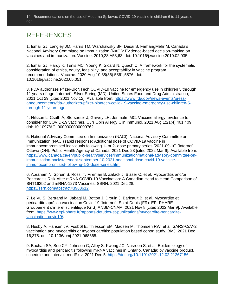## **REFERENCES**

1. Ismail SJ, Langley JM, Harris TM, Warshawsky BF, Desai S, FarhangMehr M. Canada's National Advisory Committee on Immunization (NACI): Evidence-based decision-making on vaccines and immunization. Vaccine. 2010;28:A58,63. doi: 10.1016/j.vaccine.2010.02.035.

2. Ismail SJ, Hardy K, Tunis MC, Young K, Sicard N, Quach C. A framework for the systematic consideration of ethics, equity, feasibility, and acceptability in vaccine program recommendations. Vaccine. 2020 Aug 10;38(36):5861,5876. doi: 10.1016/j.vaccine.2020.05.051.

3. FDA authorizes Pfizer-BioNTech COVID-19 vaccine for emergency use in children 5 through 11 years of age [Internet]. Silver Spring (MD): United States Food and Drug Administration; 2021 Oct 29 [cited 2021 Nov 12]. Available from: [https://www.fda.gov/news-events/press](https://www.fda.gov/news-events/press-announcements/fda-authorizes-pfizer-biontech-covid-19-vaccine-emergency-use-children-5-through-11-years-age)[announcements/fda-authorizes-pfizer-biontech-covid-19-vaccine-emergency-use-children-5](https://www.fda.gov/news-events/press-announcements/fda-authorizes-pfizer-biontech-covid-19-vaccine-emergency-use-children-5-through-11-years-age) [through-11-years-age.](https://www.fda.gov/news-events/press-announcements/fda-authorizes-pfizer-biontech-covid-19-vaccine-emergency-use-children-5-through-11-years-age)

4. Nilsson L, Csuth Á, Storsaeter J, Garvey LH, Jenmalm MC. Vaccine allergy: evidence to consider for COVID-19 vaccines. Curr Opin Allergy Clin Immunol. 2021 Aug 1;21(4):401,409. doi: 10.1097/ACI.0000000000000762.

5. National Advisory Committee on Immunization (NACI). National Advisory Committee on Immunization (NACI) rapid response: Additional dose of COVID-19 vaccine in immunocompromised individuals following 1- or 2- dose primary series [2021-09-10] [Internet]. Ottawa (ON): Public Health Agency of Canada; 2021 Dec 23 [cited 2022 Mar 9]. Available from: [https://www.canada.ca/en/public-health/services/immunization/national-advisory-committee-on](https://www.canada.ca/en/public-health/services/immunization/national-advisory-committee-on-immunization-naci/statement-september-10-2021-additional-dose-covid-19-vaccine-immunocompromised-following-1-2-dose-series.html)[immunization-naci/statement-september-10-2021-additional-dose-covid-19-vaccine](https://www.canada.ca/en/public-health/services/immunization/national-advisory-committee-on-immunization-naci/statement-september-10-2021-additional-dose-covid-19-vaccine-immunocompromised-following-1-2-dose-series.html)[immunocompromised-following-1-2-dose-series.html.](https://www.canada.ca/en/public-health/services/immunization/national-advisory-committee-on-immunization-naci/statement-september-10-2021-additional-dose-covid-19-vaccine-immunocompromised-following-1-2-dose-series.html)

6. Abraham N, Spruin S, Rossi T, Fireman B, Zafack J, Blaser C, et al. Myocarditis and/or Pericarditis Risk After mRNA COVID-19 Vaccination: A Canadian Head to Head Comparison of BNT162b2 and mRNA-1273 Vaccines. SSRN. 2021 Dec 28. [https://ssrn.com/abstract=3988612.](https://ssrn.com/abstract=3988612)

7. Le Vu S, Bertrand M, Jabagi M, Botton J, Drouin J, Baricault B, et al. Myocardite et péricardite après la vaccination Covid-19 [Internet]. Saint-Denis (FR): EPI-PHARE - Groupement d'intérêt scientifique (GIS) ANSM-CNAM; 2021 Nov 8 [cited 2022 Mar 9]. Available from: [https://www.epi-phare.fr/rapports-detudes-et-publications/myocardite-pericardite](https://www.epi-phare.fr/rapports-detudes-et-publications/myocardite-pericardite-vaccination-covid19/)[vaccination-covid19/.](https://www.epi-phare.fr/rapports-detudes-et-publications/myocardite-pericardite-vaccination-covid19/)

8. Husby A, Hansen JV, Fosbøl E, Thiesson EM, Madsen M, Thomsen RW, et al. SARS-CoV-2 vaccination and myocarditis or myopericarditis: population based cohort study. BMJ. 2021 Dec 16;375. doi: 10.1136/bmj-2021-068665.

9. Buchan SA, Seo CY, Johnson C, Alley S, Kwong JC, Nasreen S, et al. Epidemiology of myocarditis and pericarditis following mRNA vaccines in Ontario, Canada: by vaccine product, schedule and interval. medRxiv. 2021 Dec 5. [https://doi.org/10.1101/2021.12.02.21267156.](https://doi.org/10.1101/2021.12.02.21267156)